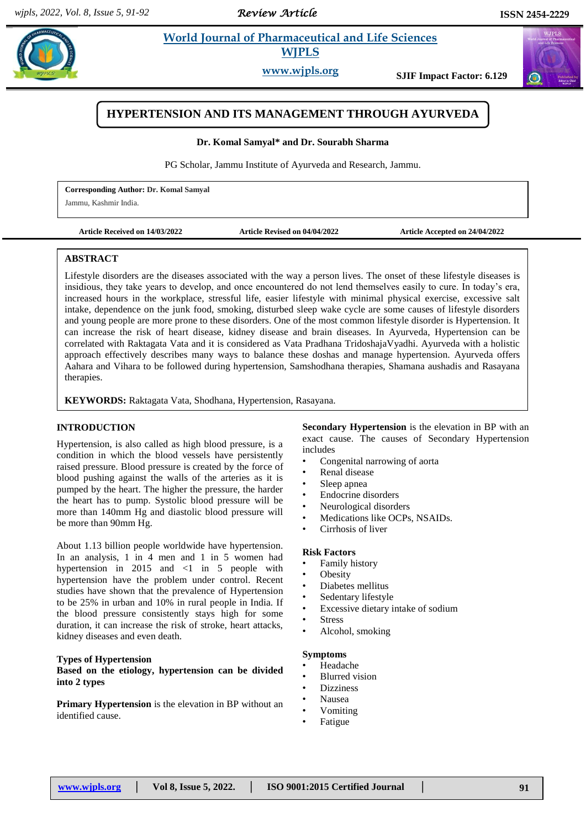## *Review Article*

# **Komall** *Et al. and Life Sciences* **WJPLS**

**www.wjpls.org SJIF Impact Factor: 6.129**

## **HYPERTENSION AND ITS MANAGEMENT THROUGH AYURVEDA**

**Dr. Komal Samyal\* and Dr. Sourabh Sharma**

PG Scholar, Jammu Institute of Ayurveda and Research, Jammu.

**Corresponding Author: Dr. Komal Samyal** Jammu, Kashmir India.

**Article Received on 14/03/2022 Article Revised on 04/04/2022 Article Accepted on 24/04/2022**

#### **ABSTRACT**

Lifestyle disorders are the diseases associated with the way a person lives. The onset of these lifestyle diseases is insidious, they take years to develop, and once encountered do not lend themselves easily to cure. In today's era, increased hours in the workplace, stressful life, easier lifestyle with minimal physical exercise, excessive salt intake, dependence on the junk food, smoking, disturbed sleep wake cycle are some causes of lifestyle disorders and young people are more prone to these disorders. One of the most common lifestyle disorder is Hypertension. It can increase the risk of heart disease, kidney disease and brain diseases. In Ayurveda, Hypertension can be correlated with Raktagata Vata and it is considered as Vata Pradhana TridoshajaVyadhi. Ayurveda with a holistic approach effectively describes many ways to balance these doshas and manage hypertension. Ayurveda offers Aahara and Vihara to be followed during hypertension, Samshodhana therapies, Shamana aushadis and Rasayana therapies.

**KEYWORDS:** Raktagata Vata, Shodhana, Hypertension, Rasayana.

#### **INTRODUCTION**

Hypertension, is also called as high blood pressure, is a condition in which the blood vessels have persistently raised pressure. Blood pressure is created by the force of blood pushing against the walls of the arteries as it is pumped by the heart. The higher the pressure, the harder the heart has to pump. Systolic blood pressure will be more than 140mm Hg and diastolic blood pressure will be more than 90mm Hg.

About 1.13 billion people worldwide have hypertension. In an analysis, 1 in 4 men and 1 in 5 women had hypertension in 2015 and <1 in 5 people with hypertension have the problem under control. Recent studies have shown that the prevalence of Hypertension to be 25% in urban and 10% in rural people in India. If the blood pressure consistently stays high for some duration, it can increase the risk of stroke, heart attacks, kidney diseases and even death.

#### **Types of Hypertension**

**Based on the etiology, hypertension can be divided into 2 types**

**Primary Hypertension** is the elevation in BP without an identified cause.

**Secondary Hypertension** is the elevation in BP with an exact cause. The causes of Secondary Hypertension includes

- Congenital narrowing of aorta
- Renal disease
- Sleep apnea
- Endocrine disorders
- Neurological disorders
- Medications like OCPs, NSAIDs.
- Cirrhosis of liver

#### **Risk Factors**

- Family history
- **Obesity**
- Diabetes mellitus
- Sedentary lifestyle
- Excessive dietary intake of sodium
- **Stress**
- Alcohol, smoking

## **Symptoms**

- Headache
- Blurred vision
- **Dizziness**
- Nausea
- Vomiting
- Fatigue